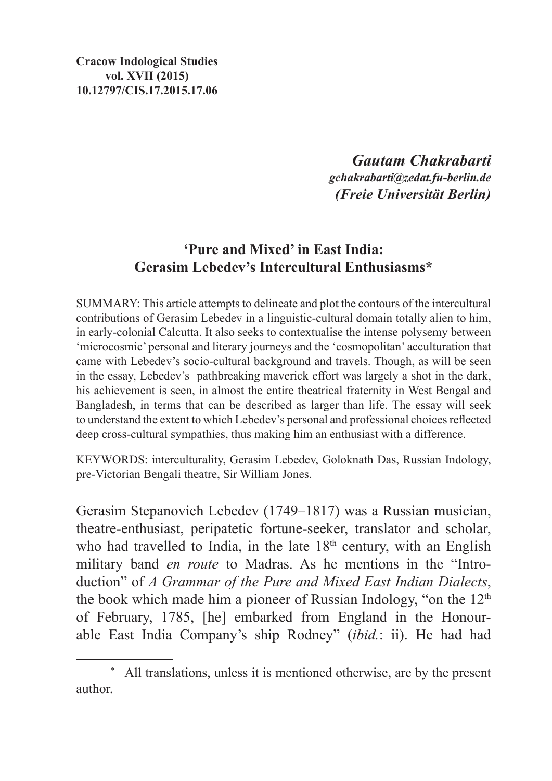**Cracow Indological Studies vol. XVII (2015) 10.12797/CIS.17.2015.17.06**

> *Gautam Chakrabarti gchakrabarti@zedat.fu-berlin.de (Freie Universität Berlin)*

## **'Pure and Mixed' in East India: Gerasim Lebedev's Intercultural Enthusiasms\***

Summary: This article attempts to delineate and plot the contours of the intercultural contributions of Gerasim Lebedev in a linguistic-cultural domain totally alien to him, in early-colonial Calcutta. It also seeks to contextualise the intense polysemy between 'microcosmic' personal and literary journeys and the 'cosmopolitan' acculturation that came with Lebedev's socio-cultural background and travels. Though, as will be seen in the essay, Lebedev's pathbreaking maverick effort was largely a shot in the dark, his achievement is seen, in almost the entire theatrical fraternity in West Bengal and Bangladesh, in terms that can be described as larger than life. The essay will seek to understand the extent to which Lebedev's personal and professional choices reflected deep cross-cultural sympathies, thus making him an enthusiast with a difference.

Keywords: interculturality, Gerasim Lebedev, Goloknath Das, Russian Indology, pre-Victorian Bengali theatre, Sir William Jones.

Gerasim Stepanovich Lebedev (1749–1817) was a Russian musician, theatre-enthusiast, peripatetic fortune-seeker, translator and scholar, who had travelled to India, in the late  $18<sup>th</sup>$  century, with an English military band *en route* to Madras. As he mentions in the "Introduction" of *A Grammar of the Pure and Mixed East Indian Dialects*, the book which made him a pioneer of Russian Indology, "on the  $12<sup>th</sup>$ of February, 1785, [he] embarked from England in the Honourable East India Company's ship Rodney" (*ibid.*: ii). He had had

<sup>\*</sup> All translations, unless it is mentioned otherwise, are by the present author.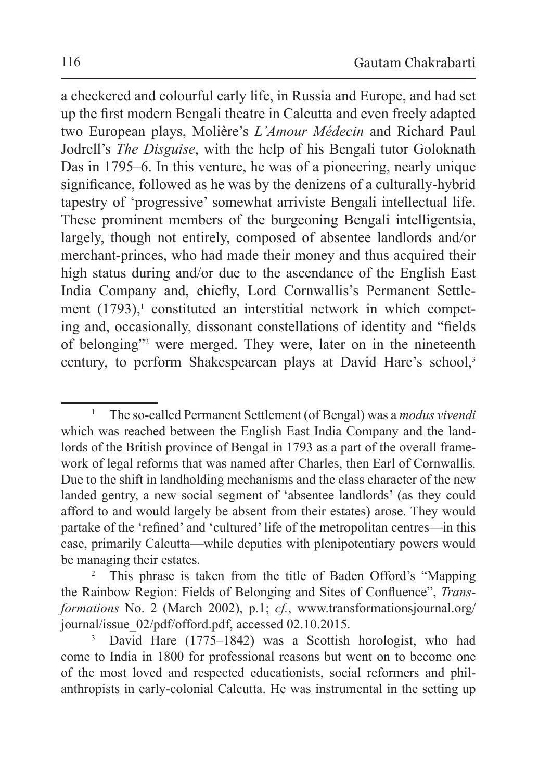a checkered and colourful early life, in Russia and Europe, and had set up the first modern Bengali theatre in Calcutta and even freely adapted two European plays, Molière's *L'Amour Médecin* and Richard Paul Jodrell's *The Disguise*, with the help of his Bengali tutor Goloknath Das in 1795–6. In this venture, he was of a pioneering, nearly unique significance, followed as he was by the denizens of a culturally-hybrid tapestry of 'progressive' somewhat arriviste Bengali intellectual life. These prominent members of the burgeoning Bengali intelligentsia, largely, though not entirely, composed of absentee landlords and/or merchant-princes, who had made their money and thus acquired their high status during and/or due to the ascendance of the English East India Company and, chiefly, Lord Cornwallis's Permanent Settlement  $(1793)$ , constituted an interstitial network in which competing and, occasionally, dissonant constellations of identity and "fields of belonging"2 were merged. They were, later on in the nineteenth century, to perform Shakespearean plays at David Hare's school,<sup>3</sup>

<sup>1</sup> The so-called Permanent Settlement (of Bengal) was a *modus vivendi* which was reached between the English East India Company and the landlords of the British province of Bengal in 1793 as a part of the overall framework of legal reforms that was named after Charles, then Earl of Cornwallis. Due to the shift in landholding mechanisms and the class character of the new landed gentry, a new social segment of 'absentee landlords' (as they could afford to and would largely be absent from their estates) arose. They would partake of the 'refined' and 'cultured' life of the metropolitan centres—in this case, primarily Calcutta—while deputies with plenipotentiary powers would be managing their estates.<br><sup>2</sup> This phrase is taken from the title of Baden Offord's "Mapping"

the Rainbow Region: Fields of Belonging and Sites of Confluence", *Transformations* No. 2 (March 2002), p.1; *cf.*, www.transformationsjournal.org/ journal/issue\_02/pdf/offord.pdf, accessed 02.10.2015. 3 David Hare (1775–1842) was a Scottish horologist, who had

come to India in 1800 for professional reasons but went on to become one of the most loved and respected educationists, social reformers and philanthropists in early-colonial Calcutta. He was instrumental in the setting up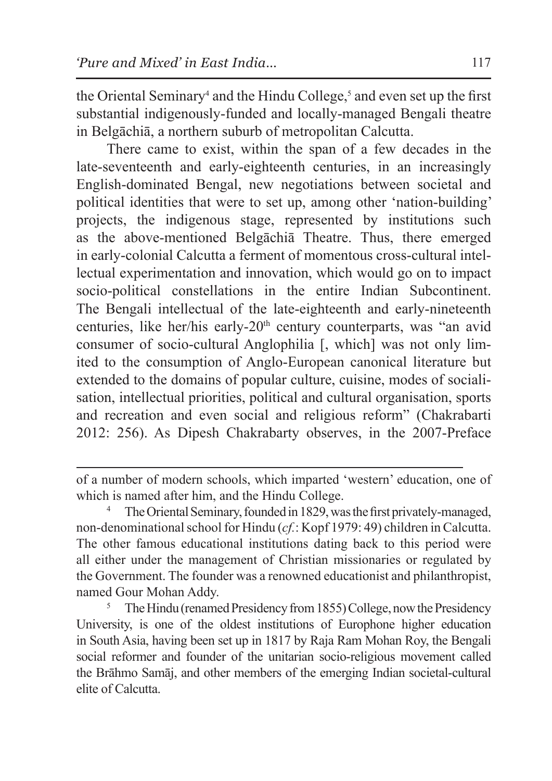the Oriental Seminary<sup>4</sup> and the Hindu College,<sup>5</sup> and even set up the first substantial indigenously-funded and locally-managed Bengali theatre in Belgāchiā, a northern suburb of metropolitan Calcutta.

There came to exist, within the span of a few decades in the late-seventeenth and early-eighteenth centuries, in an increasingly English-dominated Bengal, new negotiations between societal and political identities that were to set up, among other 'nation-building' projects, the indigenous stage, represented by institutions such as the above-mentioned Belgāchiā Theatre. Thus, there emerged in early-colonial Calcutta a ferment of momentous cross-cultural intellectual experimentation and innovation, which would go on to impact socio-political constellations in the entire Indian Subcontinent. The Bengali intellectual of the late-eighteenth and early-nineteenth centuries, like her/his early-20<sup>th</sup> century counterparts, was "an avid consumer of socio-cultural Anglophilia [, which] was not only limited to the consumption of Anglo-European canonical literature but extended to the domains of popular culture, cuisine, modes of socialisation, intellectual priorities, political and cultural organisation, sports and recreation and even social and religious reform" (Chakrabarti 2012: 256). As Dipesh Chakrabarty observes, in the 2007-Preface

of a number of modern schools, which imparted 'western' education, one of which is named after him, and the Hindu College.

The Oriental Seminary, founded in 1829, was the first privately-managed, non-denominational school for Hindu (*cf.*: Kopf 1979: 49) children in Calcutta. The other famous educational institutions dating back to this period were all either under the management of Christian missionaries or regulated by the Government. The founder was a renowned educationist and philanthropist, named Gour Mohan Addy.

<sup>&</sup>lt;sup>5</sup> The Hindu (renamed Presidency from 1855) College, now the Presidency University, is one of the oldest institutions of Europhone higher education in South Asia, having been set up in 1817 by Raja Ram Mohan Roy, the Bengali social reformer and founder of the unitarian socio-religious movement called the Brāhmo Samāj, and other members of the emerging Indian societal-cultural elite of Calcutta.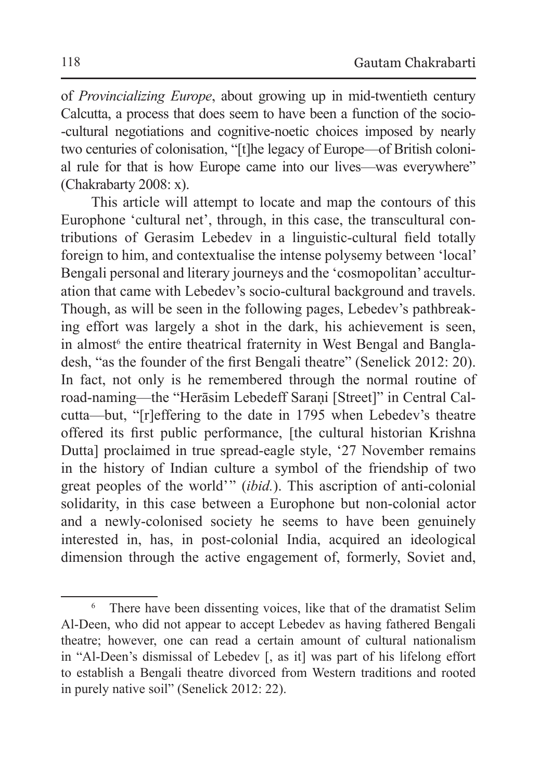of *Provincializing Europe*, about growing up in mid-twentieth century Calcutta, a process that does seem to have been a function of the socio- -cultural negotiations and cognitive-noetic choices imposed by nearly two centuries of colonisation, "[t]he legacy of Europe—of British colonial rule for that is how Europe came into our lives—was everywhere" (Chakrabarty 2008: x).

This article will attempt to locate and map the contours of this Europhone 'cultural net', through, in this case, the transcultural contributions of Gerasim Lebedev in a linguistic-cultural field totally foreign to him, and contextualise the intense polysemy between 'local' Bengali personal and literary journeys and the 'cosmopolitan' acculturation that came with Lebedev's socio-cultural background and travels. Though, as will be seen in the following pages, Lebedev's pathbreaking effort was largely a shot in the dark, his achievement is seen, in almost<sup>6</sup> the entire theatrical fraternity in West Bengal and Bangladesh, "as the founder of the first Bengali theatre" (Senelick 2012: 20). In fact, not only is he remembered through the normal routine of road-naming—the "Herāsim Lebedeff Saraṇi [Street]" in Central Calcutta—but, "[r]effering to the date in 1795 when Lebedev's theatre offered its first public performance, [the cultural historian Krishna Dutta] proclaimed in true spread-eagle style, '27 November remains in the history of Indian culture a symbol of the friendship of two great peoples of the world' " (*ibid.*). This ascription of anti-colonial solidarity, in this case between a Europhone but non-colonial actor and a newly-colonised society he seems to have been genuinely interested in, has, in post-colonial India, acquired an ideological dimension through the active engagement of, formerly, Soviet and,

<sup>&</sup>lt;sup>6</sup> There have been dissenting voices, like that of the dramatist Selim Al-Deen, who did not appear to accept Lebedev as having fathered Bengali theatre; however, one can read a certain amount of cultural nationalism in "Al-Deen's dismissal of Lebedev [, as it] was part of his lifelong effort to establish a Bengali theatre divorced from Western traditions and rooted in purely native soil" (Senelick 2012: 22).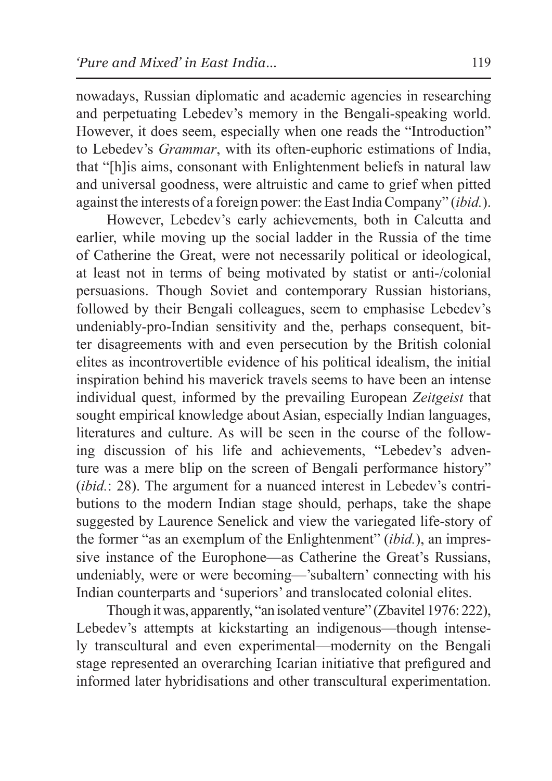nowadays, Russian diplomatic and academic agencies in researching and perpetuating Lebedev's memory in the Bengali-speaking world. However, it does seem, especially when one reads the "Introduction" to Lebedev's *Grammar*, with its often-euphoric estimations of India, that "[h]is aims, consonant with Enlightenment beliefs in natural law and universal goodness, were altruistic and came to grief when pitted against the interests of a foreign power: the East India Company" (*ibid.*).

However, Lebedev's early achievements, both in Calcutta and earlier, while moving up the social ladder in the Russia of the time of Catherine the Great, were not necessarily political or ideological, at least not in terms of being motivated by statist or anti-/colonial persuasions. Though Soviet and contemporary Russian historians, followed by their Bengali colleagues, seem to emphasise Lebedev's undeniably-pro-Indian sensitivity and the, perhaps consequent, bitter disagreements with and even persecution by the British colonial elites as incontrovertible evidence of his political idealism, the initial inspiration behind his maverick travels seems to have been an intense individual quest, informed by the prevailing European *Zeitgeist* that sought empirical knowledge about Asian, especially Indian languages, literatures and culture. As will be seen in the course of the following discussion of his life and achievements, "Lebedev's adventure was a mere blip on the screen of Bengali performance history" (*ibid.*: 28). The argument for a nuanced interest in Lebedev's contributions to the modern Indian stage should, perhaps, take the shape suggested by Laurence Senelick and view the variegated life-story of the former "as an exemplum of the Enlightenment" (*ibid.*), an impressive instance of the Europhone—as Catherine the Great's Russians, undeniably, were or were becoming—'subaltern' connecting with his Indian counterparts and 'superiors' and translocated colonial elites.

Though itwas, apparently, "an isolated venture" (Zbavitel 1976: 222), Lebedev's attempts at kickstarting an indigenous—though intensely transcultural and even experimental—modernity on the Bengali stage represented an overarching Icarian initiative that prefigured and informed later hybridisations and other transcultural experimentation.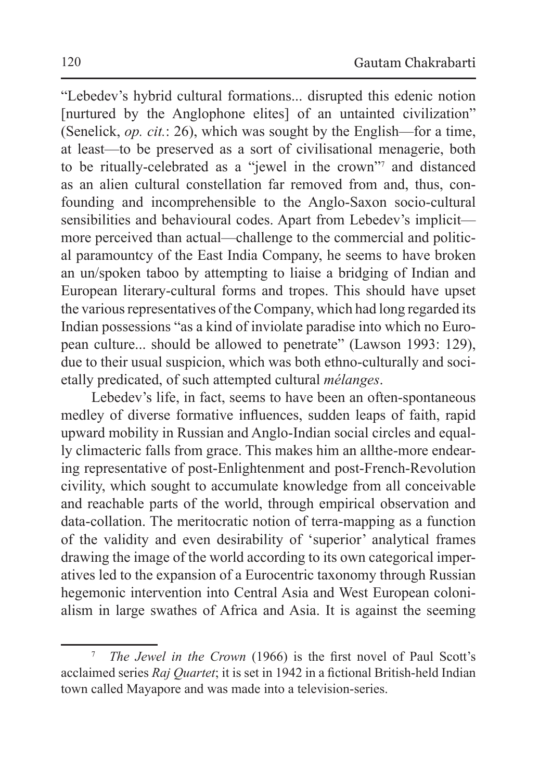"Lebedev's hybrid cultural formations... disrupted this edenic notion [nurtured by the Anglophone elites] of an untainted civilization" (Senelick, *op. cit.*: 26), which was sought by the English—for a time, at least—to be preserved as a sort of civilisational menagerie, both to be ritually-celebrated as a "jewel in the crown"7 and distanced as an alien cultural constellation far removed from and, thus, confounding and incomprehensible to the Anglo-Saxon socio-cultural sensibilities and behavioural codes. Apart from Lebedev's implicit more perceived than actual—challenge to the commercial and political paramountcy of the East India Company, he seems to have broken an un/spoken taboo by attempting to liaise a bridging of Indian and European literary-cultural forms and tropes. This should have upset the various representatives of the Company, which had long regarded its Indian possessions "as a kind of inviolate paradise into which no European culture... should be allowed to penetrate" (Lawson 1993: 129), due to their usual suspicion, which was both ethno-culturally and societally predicated, of such attempted cultural *mélanges*.

Lebedev's life, in fact, seems to have been an often-spontaneous medley of diverse formative influences, sudden leaps of faith, rapid upward mobility in Russian and Anglo-Indian social circles and equally climacteric falls from grace. This makes him an allthe-more endearing representative of post-Enlightenment and post-French-Revolution civility, which sought to accumulate knowledge from all conceivable and reachable parts of the world, through empirical observation and data-collation. The meritocratic notion of terra-mapping as a function of the validity and even desirability of 'superior' analytical frames drawing the image of the world according to its own categorical imperatives led to the expansion of a Eurocentric taxonomy through Russian hegemonic intervention into Central Asia and West European colonialism in large swathes of Africa and Asia. It is against the seeming

<sup>7</sup> *The Jewel in the Crown* (1966) is the first novel of Paul Scott's acclaimed series *Raj Quartet*; it is set in 1942 in a fictional British-held Indian town called Mayapore and was made into a television-series.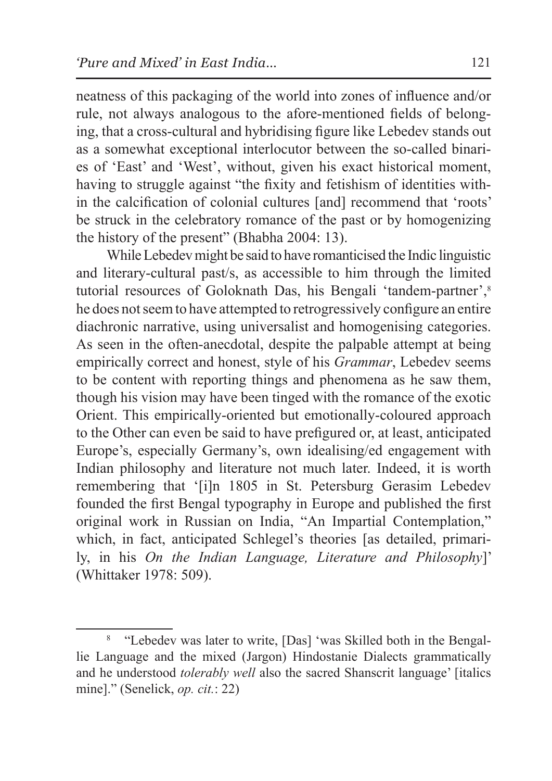neatness of this packaging of the world into zones of influence and/or rule, not always analogous to the afore-mentioned fields of belonging, that a cross-cultural and hybridising figure like Lebedev stands out as a somewhat exceptional interlocutor between the so-called binaries of 'East' and 'West', without, given his exact historical moment, having to struggle against "the fixity and fetishism of identities within the calcification of colonial cultures [and] recommend that 'roots' be struck in the celebratory romance of the past or by homogenizing the history of the present" (Bhabha 2004: 13).

While Lebedev might be said to have romanticised the Indic linguistic and literary-cultural past/s, as accessible to him through the limited tutorial resources of Goloknath Das, his Bengali 'tandem-partner',<sup>8</sup> he does not seem to have attempted to retrogressively configure an entire diachronic narrative, using universalist and homogenising categories. As seen in the often-anecdotal, despite the palpable attempt at being empirically correct and honest, style of his *Grammar*, Lebedev seems to be content with reporting things and phenomena as he saw them, though his vision may have been tinged with the romance of the exotic Orient. This empirically-oriented but emotionally-coloured approach to the Other can even be said to have prefigured or, at least, anticipated Europe's, especially Germany's, own idealising/ed engagement with Indian philosophy and literature not much later. Indeed, it is worth remembering that '[i]n 1805 in St. Petersburg Gerasim Lebedev founded the first Bengal typography in Europe and published the first original work in Russian on India, "An Impartial Contemplation," which, in fact, anticipated Schlegel's theories [as detailed, primarily, in his *On the Indian Language, Literature and Philosophy*]' (Whittaker 1978: 509).

<sup>8</sup> "Lebedev was later to write, [Das] 'was Skilled both in the Bengallie Language and the mixed (Jargon) Hindostanie Dialects grammatically and he understood *tolerably well* also the sacred Shanscrit language' [italics mine]." (Senelick, *op. cit.*: 22)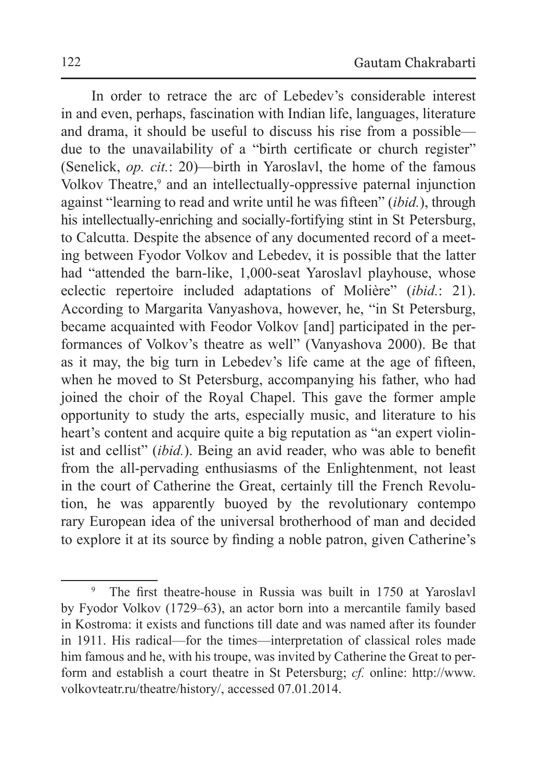In order to retrace the arc of Lebedev's considerable interest in and even, perhaps, fascination with Indian life, languages, literature and drama, it should be useful to discuss his rise from a possible due to the unavailability of a "birth certificate or church register" (Senelick, *op. cit.*: 20)—birth in Yaroslavl, the home of the famous Volkov Theatre,<sup>9</sup> and an intellectually-oppressive paternal injunction against "learning to read and write until he was fifteen" (*ibid.*), through his intellectually-enriching and socially-fortifying stint in St Petersburg, to Calcutta. Despite the absence of any documented record of a meeting between Fyodor Volkov and Lebedev, it is possible that the latter had "attended the barn-like, 1,000-seat Yaroslavl playhouse, whose eclectic repertoire included adaptations of Molière" (*ibid.*: 21). According to Margarita Vanyashova, however, he, "in St Petersburg, became acquainted with Feodor Volkov [and] participated in the performances of Volkov's theatre as well" (Vanyashova 2000). Be that as it may, the big turn in Lebedev's life came at the age of fifteen, when he moved to St Petersburg, accompanying his father, who had joined the choir of the Royal Chapel. This gave the former ample opportunity to study the arts, especially music, and literature to his heart's content and acquire quite a big reputation as "an expert violinist and cellist" (*ibid.*). Being an avid reader, who was able to benefit from the all-pervading enthusiasms of the Enlightenment, not least in the court of Catherine the Great, certainly till the French Revolution, he was apparently buoyed by the revolutionary contempo rary European idea of the universal brotherhood of man and decided to explore it at its source by finding a noble patron, given Catherine's

<sup>9</sup> The first theatre-house in Russia was built in 1750 at Yaroslavl by Fyodor Volkov (1729–63), an actor born into a mercantile family based in Kostroma: it exists and functions till date and was named after its founder in 1911. His radical—for the times—interpretation of classical roles made him famous and he, with his troupe, was invited by Catherine the Great to perform and establish a court theatre in St Petersburg; *cf.* online: http://www. volkovteatr.ru/theatre/history/, accessed 07.01.2014.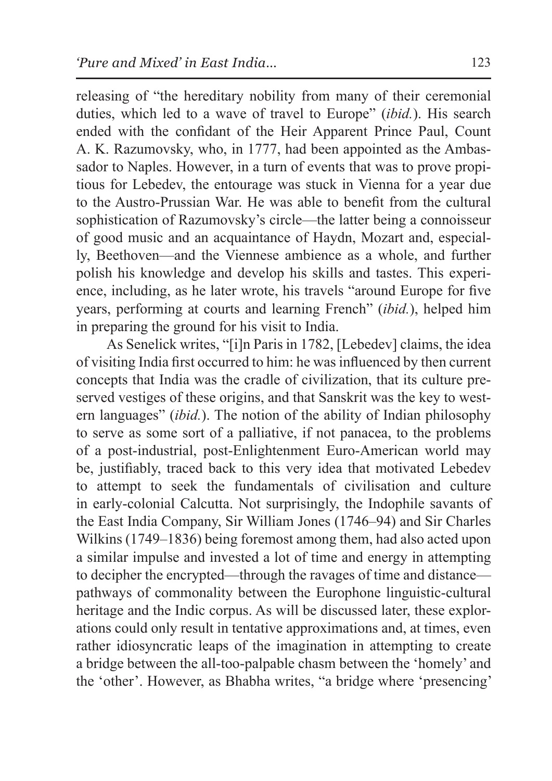releasing of "the hereditary nobility from many of their ceremonial duties, which led to a wave of travel to Europe" (*ibid.*). His search ended with the confidant of the Heir Apparent Prince Paul, Count A. K. Razumovsky, who, in 1777, had been appointed as the Ambassador to Naples. However, in a turn of events that was to prove propitious for Lebedev, the entourage was stuck in Vienna for a year due to the Austro-Prussian War. He was able to benefit from the cultural sophistication of Razumovsky's circle—the latter being a connoisseur of good music and an acquaintance of Haydn, Mozart and, especially, Beethoven—and the Viennese ambience as a whole, and further polish his knowledge and develop his skills and tastes. This experience, including, as he later wrote, his travels "around Europe for five years, performing at courts and learning French" (*ibid.*), helped him in preparing the ground for his visit to India.

As Senelick writes, "[i]n Paris in 1782, [Lebedev] claims, the idea of visiting India first occurred to him: he was influenced by then current concepts that India was the cradle of civilization, that its culture preserved vestiges of these origins, and that Sanskrit was the key to western languages" (*ibid.*). The notion of the ability of Indian philosophy to serve as some sort of a palliative, if not panacea, to the problems of a post-industrial, post-Enlightenment Euro-American world may be, justifiably, traced back to this very idea that motivated Lebedev to attempt to seek the fundamentals of civilisation and culture in early-colonial Calcutta. Not surprisingly, the Indophile savants of the East India Company, Sir William Jones (1746–94) and Sir Charles Wilkins (1749–1836) being foremost among them, had also acted upon a similar impulse and invested a lot of time and energy in attempting to decipher the encrypted—through the ravages of time and distance pathways of commonality between the Europhone linguistic-cultural heritage and the Indic corpus. As will be discussed later, these explorations could only result in tentative approximations and, at times, even rather idiosyncratic leaps of the imagination in attempting to create a bridge between the all-too-palpable chasm between the 'homely' and the 'other'. However, as Bhabha writes, "a bridge where 'presencing'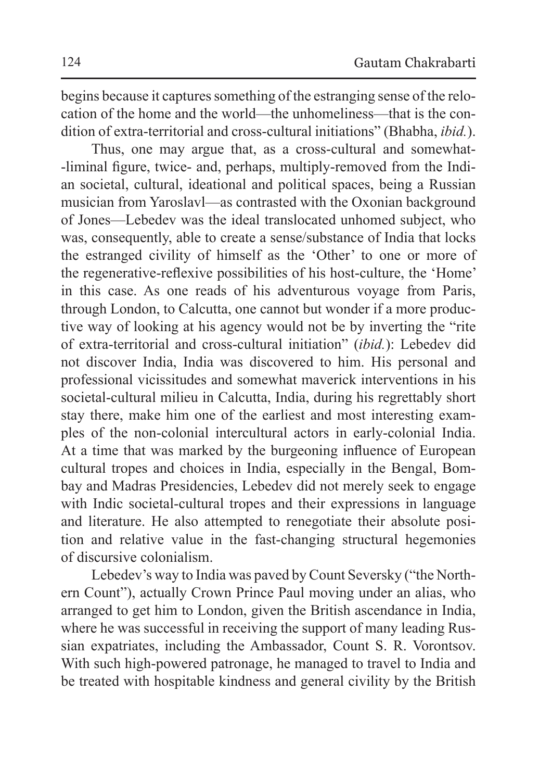begins because it captures something of the estranging sense of the relocation of the home and the world—the unhomeliness—that is the condition of extra-territorial and cross-cultural initiations" (Bhabha, *ibid.*).

Thus, one may argue that, as a cross-cultural and somewhat- -liminal figure, twice- and, perhaps, multiply-removed from the Indian societal, cultural, ideational and political spaces, being a Russian musician from Yaroslavl—as contrasted with the Oxonian background of Jones—Lebedev was the ideal translocated unhomed subject, who was, consequently, able to create a sense/substance of India that locks the estranged civility of himself as the 'Other' to one or more of the regenerative-reflexive possibilities of his host-culture, the 'Home' in this case. As one reads of his adventurous voyage from Paris, through London, to Calcutta, one cannot but wonder if a more productive way of looking at his agency would not be by inverting the "rite of extra-territorial and cross-cultural initiation" (*ibid.*): Lebedev did not discover India, India was discovered to him. His personal and professional vicissitudes and somewhat maverick interventions in his societal-cultural milieu in Calcutta, India, during his regrettably short stay there, make him one of the earliest and most interesting examples of the non-colonial intercultural actors in early-colonial India. At a time that was marked by the burgeoning influence of European cultural tropes and choices in India, especially in the Bengal, Bombay and Madras Presidencies, Lebedev did not merely seek to engage with Indic societal-cultural tropes and their expressions in language and literature. He also attempted to renegotiate their absolute position and relative value in the fast-changing structural hegemonies of discursive colonialism.

Lebedev's way to India was paved by Count Seversky ("the Northern Count"), actually Crown Prince Paul moving under an alias, who arranged to get him to London, given the British ascendance in India, where he was successful in receiving the support of many leading Russian expatriates, including the Ambassador, Count S. R. Vorontsov. With such high-powered patronage, he managed to travel to India and be treated with hospitable kindness and general civility by the British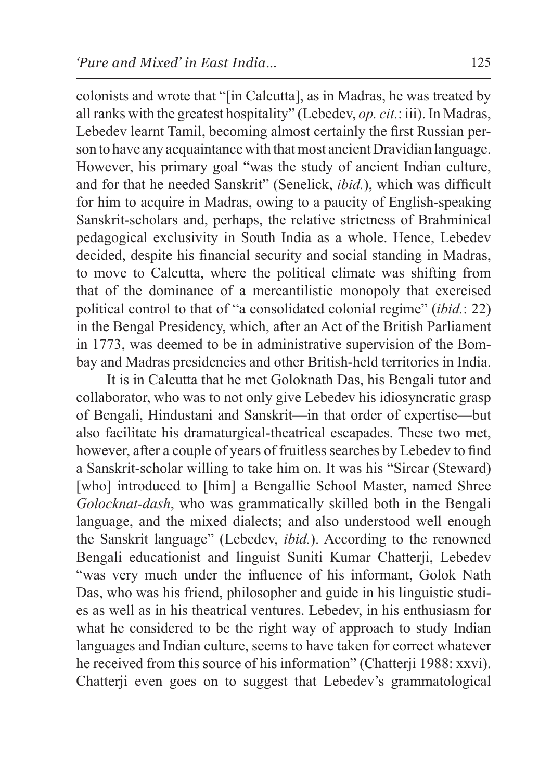colonists and wrote that "[in Calcutta], as in Madras, he was treated by all ranks with the greatest hospitality" (Lebedev, *op. cit.*: iii). In Madras, Lebedev learnt Tamil, becoming almost certainly the first Russian person to have any acquaintance with that most ancient Dravidian language. However, his primary goal "was the study of ancient Indian culture, and for that he needed Sanskrit" (Senelick, *ibid.*), which was difficult for him to acquire in Madras, owing to a paucity of English-speaking Sanskrit-scholars and, perhaps, the relative strictness of Brahminical pedagogical exclusivity in South India as a whole. Hence, Lebedev decided, despite his financial security and social standing in Madras, to move to Calcutta, where the political climate was shifting from that of the dominance of a mercantilistic monopoly that exercised political control to that of "a consolidated colonial regime" (*ibid.*: 22) in the Bengal Presidency, which, after an Act of the British Parliament in 1773, was deemed to be in administrative supervision of the Bombay and Madras presidencies and other British-held territories in India.

It is in Calcutta that he met Goloknath Das, his Bengali tutor and collaborator, who was to not only give Lebedev his idiosyncratic grasp of Bengali, Hindustani and Sanskrit—in that order of expertise—but also facilitate his dramaturgical-theatrical escapades. These two met, however, after a couple of years of fruitless searches by Lebedev to find a Sanskrit-scholar willing to take him on. It was his "Sircar (Steward) [who] introduced to [him] a Bengallie School Master, named Shree *Golocknat-dash*, who was grammatically skilled both in the Bengali language, and the mixed dialects; and also understood well enough the Sanskrit language" (Lebedev, *ibid.*). According to the renowned Bengali educationist and linguist Suniti Kumar Chatterji, Lebedev "was very much under the influence of his informant, Golok Nath Das, who was his friend, philosopher and guide in his linguistic studies as well as in his theatrical ventures. Lebedev, in his enthusiasm for what he considered to be the right way of approach to study Indian languages and Indian culture, seems to have taken for correct whatever he received from this source of his information" (Chatterji 1988: xxvi). Chatterji even goes on to suggest that Lebedev's grammatological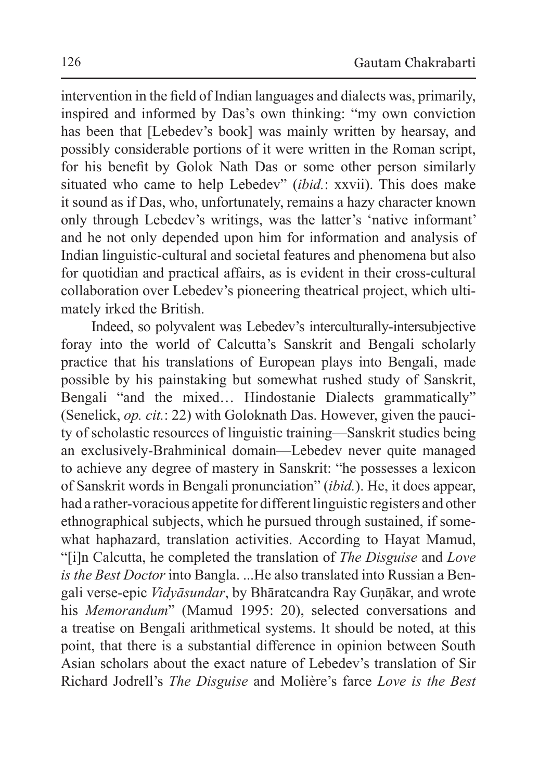intervention in the field of Indian languages and dialects was, primarily, inspired and informed by Das's own thinking: "my own conviction has been that [Lebedev's book] was mainly written by hearsay, and possibly considerable portions of it were written in the Roman script, for his benefit by Golok Nath Das or some other person similarly situated who came to help Lebedev" (*ibid.*: xxvii). This does make it sound as if Das, who, unfortunately, remains a hazy character known only through Lebedev's writings, was the latter's 'native informant' and he not only depended upon him for information and analysis of Indian linguistic-cultural and societal features and phenomena but also for quotidian and practical affairs, as is evident in their cross-cultural collaboration over Lebedev's pioneering theatrical project, which ultimately irked the British.

Indeed, so polyvalent was Lebedev's interculturally-intersubjective foray into the world of Calcutta's Sanskrit and Bengali scholarly practice that his translations of European plays into Bengali, made possible by his painstaking but somewhat rushed study of Sanskrit, Bengali "and the mixed… Hindostanie Dialects grammatically" (Senelick, *op. cit.*: 22) with Goloknath Das. However, given the paucity of scholastic resources of linguistic training—Sanskrit studies being an exclusively-Brahminical domain—Lebedev never quite managed to achieve any degree of mastery in Sanskrit: "he possesses a lexicon of Sanskrit words in Bengali pronunciation" (*ibid.*). He, it does appear, had a rather-voracious appetite for different linguistic registers and other ethnographical subjects, which he pursued through sustained, if somewhat haphazard, translation activities. According to Hayat Mamud, "[i]n Calcutta, he completed the translation of *The Disguise* and *Love is the Best Doctor* into Bangla. ...He also translated into Russian a Bengali verse-epic *Vidyāsundar*, by Bhāratcandra Ray Guṇākar, and wrote his *Memorandum*" (Mamud 1995: 20), selected conversations and a treatise on Bengali arithmetical systems. It should be noted, at this point, that there is a substantial difference in opinion between South Asian scholars about the exact nature of Lebedev's translation of Sir Richard Jodrell's *The Disguise* and Molière's farce *Love is the Best*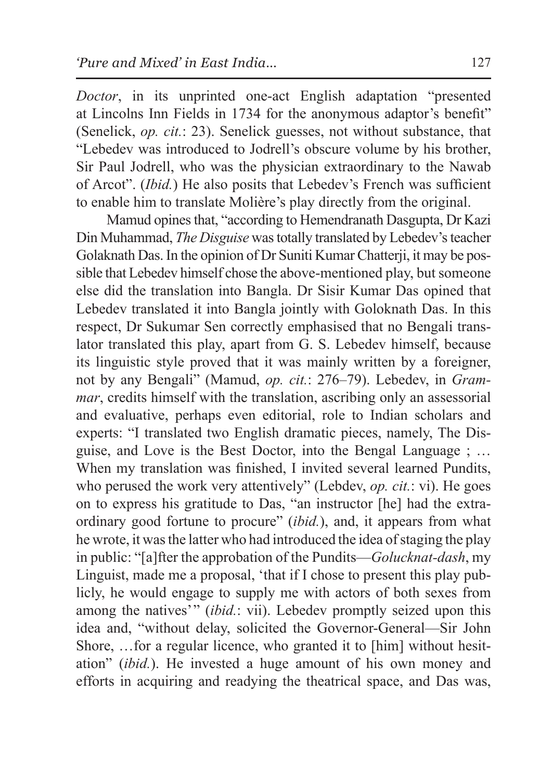*Doctor*, in its unprinted one-act English adaptation "presented at Lincolns Inn Fields in 1734 for the anonymous adaptor's benefit" (Senelick, *op. cit.*: 23). Senelick guesses, not without substance, that "Lebedev was introduced to Jodrell's obscure volume by his brother, Sir Paul Jodrell, who was the physician extraordinary to the Nawab of Arcot". (*Ibid.*) He also posits that Lebedev's French was sufficient to enable him to translate Molière's play directly from the original.

Mamud opines that, "according to Hemendranath Dasgupta, Dr Kazi Din Muhammad, *The Disguise* was totally translated by Lebedev's teacher Golaknath Das. In the opinion of Dr Suniti Kumar Chatterji, it may be possible that Lebedev himself chose the above-mentioned play, but someone else did the translation into Bangla. Dr Sisir Kumar Das opined that Lebedev translated it into Bangla jointly with Goloknath Das. In this respect, Dr Sukumar Sen correctly emphasised that no Bengali translator translated this play, apart from G. S. Lebedev himself, because its linguistic style proved that it was mainly written by a foreigner, not by any Bengali" (Mamud, *op. cit.*: 276–79). Lebedev, in *Grammar*, credits himself with the translation, ascribing only an assessorial and evaluative, perhaps even editorial, role to Indian scholars and experts: "I translated two English dramatic pieces, namely, The Disguise, and Love is the Best Doctor, into the Bengal Language ; … When my translation was finished, I invited several learned Pundits, who perused the work very attentively" (Lebdev, *op. cit.*: vi). He goes on to express his gratitude to Das, "an instructor [he] had the extraordinary good fortune to procure" (*ibid.*), and, it appears from what he wrote, it was the latter who had introduced the idea of staging the play in public: "[a]fter the approbation of the Pundits—*Golucknat-dash*, my Linguist, made me a proposal, 'that if I chose to present this play publicly, he would engage to supply me with actors of both sexes from among the natives'" *(ibid.: vii)*. Lebedev promptly seized upon this idea and, "without delay, solicited the Governor-General—Sir John Shore, …for a regular licence, who granted it to [him] without hesitation" (*ibid.*). He invested a huge amount of his own money and efforts in acquiring and readying the theatrical space, and Das was,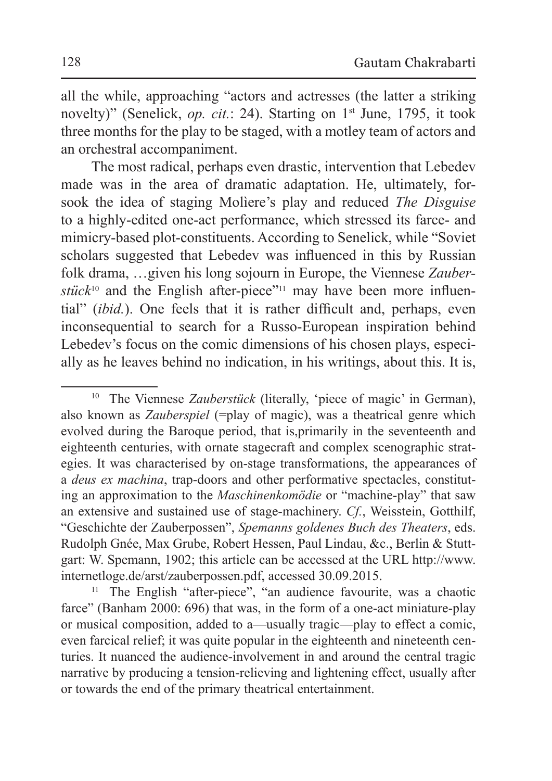all the while, approaching "actors and actresses (the latter a striking novelty)" (Senelick, *op. cit.*: 24). Starting on 1<sup>st</sup> June, 1795, it took three months for the play to be staged, with a motley team of actors and an orchestral accompaniment.

The most radical, perhaps even drastic, intervention that Lebedev made was in the area of dramatic adaptation. He, ultimately, forsook the idea of staging Molìere's play and reduced *The Disguise* to a highly-edited one-act performance, which stressed its farce- and mimicry-based plot-constituents. According to Senelick, while "Soviet scholars suggested that Lebedev was influenced in this by Russian folk drama, …given his long sojourn in Europe, the Viennese *Zauber and the English after-piece"<sup>11</sup> may have been more influen*tial" (*ibid.*). One feels that it is rather difficult and, perhaps, even inconsequential to search for a Russo-European inspiration behind Lebedev's focus on the comic dimensions of his chosen plays, especially as he leaves behind no indication, in his writings, about this. It is,

<sup>10</sup> The Viennese *Zauberstück* (literally, 'piece of magic' in German), also known as *Zauberspiel* (=play of magic), was a theatrical genre which evolved during the Baroque period, that is,primarily in the seventeenth and eighteenth centuries, with ornate stagecraft and complex scenographic strategies. It was characterised by on-stage transformations, the appearances of a *deus ex machina*, trap-doors and other performative spectacles, constituting an approximation to the *Maschinenkomödie* or "machine-play" that saw an extensive and sustained use of stage-machinery. *Cf.*, Weisstein, Gotthilf, "Geschichte der Zauberpossen", *Spemanns goldenes Buch des Theaters*, eds. Rudolph Gnée, Max Grube, Robert Hessen, Paul Lindau, &c., Berlin & Stuttgart: W. Spemann, 1902; this article can be accessed at the URL http://www. internetloge.de/arst/zauberpossen.pdf, accessed 30.09.2015. 11 The English "after-piece", "an audience favourite, was a chaotic

farce" (Banham 2000: 696) that was, in the form of a one-act miniature-play or musical composition, added to a—usually tragic—play to effect a comic, even farcical relief; it was quite popular in the eighteenth and nineteenth centuries. It nuanced the audience-involvement in and around the central tragic narrative by producing a tension-relieving and lightening effect, usually after or towards the end of the primary theatrical entertainment.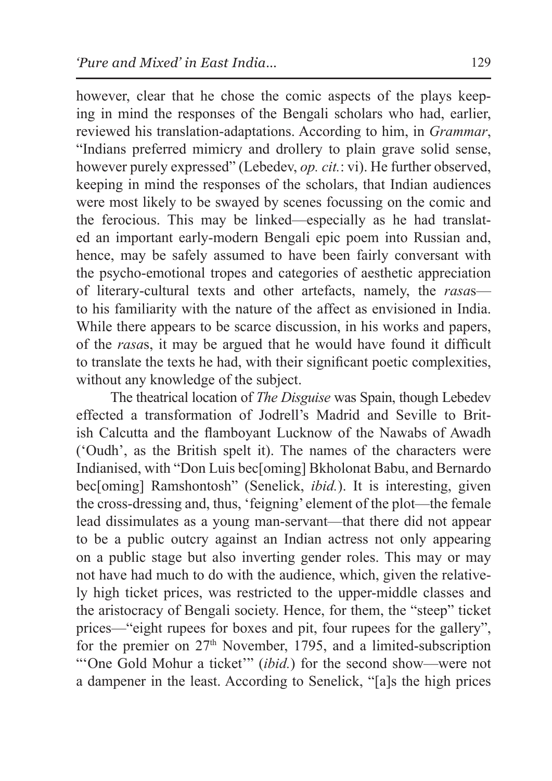however, clear that he chose the comic aspects of the plays keeping in mind the responses of the Bengali scholars who had, earlier, reviewed his translation-adaptations. According to him, in *Grammar*, "Indians preferred mimicry and drollery to plain grave solid sense, however purely expressed" (Lebedev, *op. cit.*: vi). He further observed, keeping in mind the responses of the scholars, that Indian audiences were most likely to be swayed by scenes focussing on the comic and the ferocious. This may be linked—especially as he had translated an important early-modern Bengali epic poem into Russian and, hence, may be safely assumed to have been fairly conversant with the psycho-emotional tropes and categories of aesthetic appreciation of literary-cultural texts and other artefacts, namely, the *rasa*s to his familiarity with the nature of the affect as envisioned in India. While there appears to be scarce discussion, in his works and papers, of the *rasa*s, it may be argued that he would have found it difficult to translate the texts he had, with their significant poetic complexities, without any knowledge of the subject.

 The theatrical location of *The Disguise* was Spain, though Lebedev effected a transformation of Jodrell's Madrid and Seville to British Calcutta and the flamboyant Lucknow of the Nawabs of Awadh ('Oudh', as the British spelt it). The names of the characters were Indianised, with "Don Luis bec[oming] Bkholonat Babu, and Bernardo bec[oming] Ramshontosh" (Senelick, *ibid.*). It is interesting, given the cross-dressing and, thus, 'feigning' element of the plot—the female lead dissimulates as a young man-servant—that there did not appear to be a public outcry against an Indian actress not only appearing on a public stage but also inverting gender roles. This may or may not have had much to do with the audience, which, given the relatively high ticket prices, was restricted to the upper-middle classes and the aristocracy of Bengali society. Hence, for them, the "steep" ticket prices—"eight rupees for boxes and pit, four rupees for the gallery", for the premier on  $27<sup>th</sup>$  November, 1795, and a limited-subscription "'One Gold Mohur a ticket'" (*ibid.*) for the second show—were not a dampener in the least. According to Senelick, "[a]s the high prices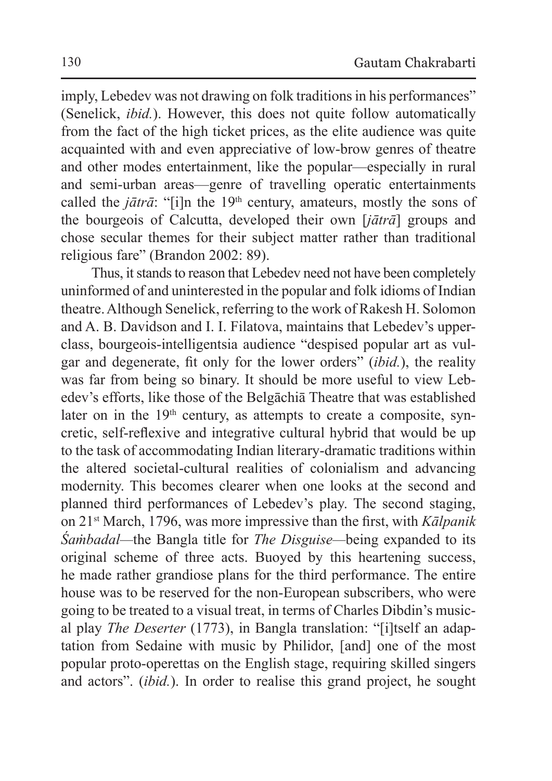imply, Lebedev was not drawing on folk traditions in his performances" (Senelick, *ibid.*). However, this does not quite follow automatically from the fact of the high ticket prices, as the elite audience was quite acquainted with and even appreciative of low-brow genres of theatre and other modes entertainment, like the popular—especially in rural and semi-urban areas—genre of travelling operatic entertainments called the  $i\bar{a}tr\bar{a}$ : "[i]n the 19<sup>th</sup> century, amateurs, mostly the sons of the bourgeois of Calcutta, developed their own [*jātrā*] groups and chose secular themes for their subject matter rather than traditional religious fare" (Brandon 2002: 89).

Thus, it stands to reason that Lebedev need not have been completely uninformed of and uninterested in the popular and folk idioms of Indian theatre. Although Senelick, referring to the work of Rakesh H. Solomon and A. B. Davidson and I. I. Filatova, maintains that Lebedev's upperclass, bourgeois-intelligentsia audience "despised popular art as vulgar and degenerate, fit only for the lower orders" (*ibid.*), the reality was far from being so binary. It should be more useful to view Lebedev's efforts, like those of the Belgāchiā Theatre that was established later on in the 19<sup>th</sup> century, as attempts to create a composite, syncretic, self-reflexive and integrative cultural hybrid that would be up to the task of accommodating Indian literary-dramatic traditions within the altered societal-cultural realities of colonialism and advancing modernity. This becomes clearer when one looks at the second and planned third performances of Lebedev's play. The second staging, on 21st March, 1796, was more impressive than the first, with *Kālpanik Śaṁbadal—*the Bangla title for *The Disguise—*being expanded to its original scheme of three acts. Buoyed by this heartening success, he made rather grandiose plans for the third performance. The entire house was to be reserved for the non-European subscribers, who were going to be treated to a visual treat, in terms of Charles Dibdin's musical play *The Deserter* (1773), in Bangla translation: "[i]tself an adaptation from Sedaine with music by Philidor, [and] one of the most popular proto-operettas on the English stage, requiring skilled singers and actors". (*ibid.*). In order to realise this grand project, he sought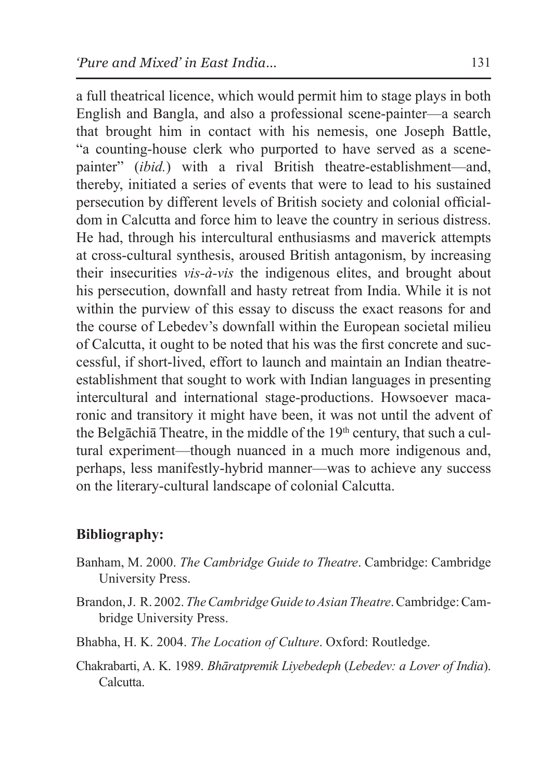a full theatrical licence, which would permit him to stage plays in both English and Bangla, and also a professional scene-painter—a search that brought him in contact with his nemesis, one Joseph Battle, "a counting-house clerk who purported to have served as a scenepainter" (*ibid.*) with a rival British theatre-establishment—and, thereby, initiated a series of events that were to lead to his sustained persecution by different levels of British society and colonial officialdom in Calcutta and force him to leave the country in serious distress. He had, through his intercultural enthusiasms and maverick attempts at cross-cultural synthesis, aroused British antagonism, by increasing their insecurities *vis-à-vis* the indigenous elites, and brought about his persecution, downfall and hasty retreat from India. While it is not within the purview of this essay to discuss the exact reasons for and the course of Lebedev's downfall within the European societal milieu of Calcutta, it ought to be noted that his was the first concrete and successful, if short-lived, effort to launch and maintain an Indian theatreestablishment that sought to work with Indian languages in presenting intercultural and international stage-productions. Howsoever macaronic and transitory it might have been, it was not until the advent of the Belgāchiā Theatre, in the middle of the  $19<sup>th</sup>$  century, that such a cultural experiment—though nuanced in a much more indigenous and, perhaps, less manifestly-hybrid manner—was to achieve any success on the literary-cultural landscape of colonial Calcutta.

## **Bibliography:**

- Banham, M. 2000. *The Cambridge Guide to Theatre*. Cambridge: Cambridge University Press.
- Brandon, J. R. 2002. *TheCambridge Guide toAsian Theatre*. Cambridge:Cambridge University Press.
- Bhabha, H. K. 2004. *The Location of Culture*. Oxford: Routledge.
- Chakrabarti, A. K. 1989. *Bhāratpremik Liyebedeph* (*Lebedev: a Lover of India*). **Calcutta**